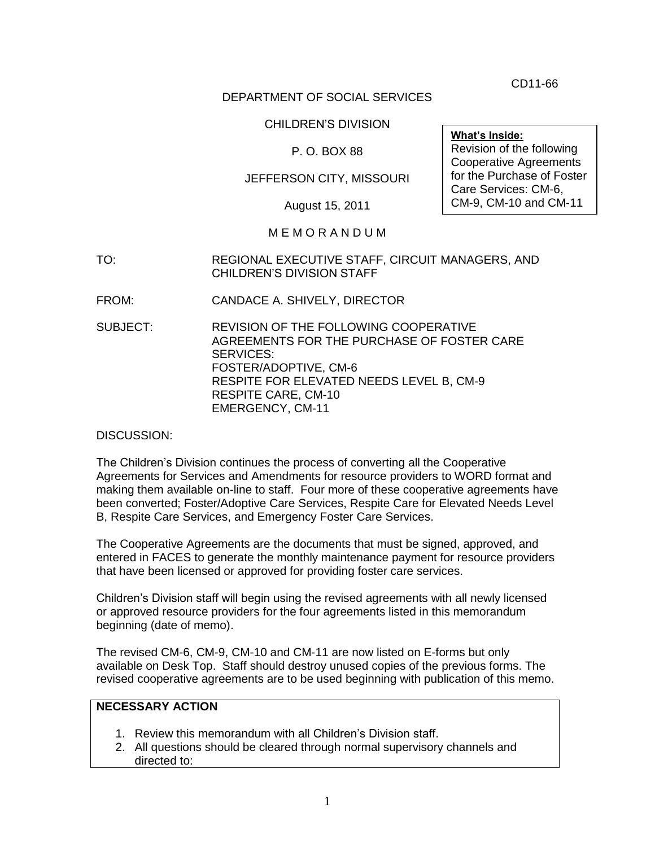CD11-66

### DEPARTMENT OF SOCIAL SERVICES

### CHILDREN'S DIVISION

### P. O. BOX 88

### JEFFERSON CITY, MISSOURI

August 15, 2011

#### M E M O R A N D U M

- TO: REGIONAL EXECUTIVE STAFF, CIRCUIT MANAGERS, AND CHILDREN'S DIVISION STAFF
- FROM: CANDACE A. SHIVELY, DIRECTOR
- SUBJECT: REVISION OF THE FOLLOWING COOPERATIVE AGREEMENTS FOR THE PURCHASE OF FOSTER CARE SERVICES: FOSTER/ADOPTIVE, CM-6 RESPITE FOR ELEVATED NEEDS LEVEL B, CM-9 RESPITE CARE, CM-10 EMERGENCY, CM-11

DISCUSSION:

The Children's Division continues the process of converting all the Cooperative Agreements for Services and Amendments for resource providers to WORD format and making them available on-line to staff. Four more of these cooperative agreements have been converted; Foster/Adoptive Care Services, Respite Care for Elevated Needs Level B, Respite Care Services, and Emergency Foster Care Services.

The Cooperative Agreements are the documents that must be signed, approved, and entered in FACES to generate the monthly maintenance payment for resource providers that have been licensed or approved for providing foster care services.

Children's Division staff will begin using the revised agreements with all newly licensed or approved resource providers for the four agreements listed in this memorandum beginning (date of memo).

The revised CM-6, CM-9, CM-10 and CM-11 are now listed on E-forms but only available on Desk Top. Staff should destroy unused copies of the previous forms. The revised cooperative agreements are to be used beginning with publication of this memo.

### **NECESSARY ACTION**

- 1. Review this memorandum with all Children's Division staff.
- 2. All questions should be cleared through normal supervisory channels and directed to:

**What's Inside:** Revision of the following Cooperative Agreements for the Purchase of Foster Care Services: CM-6, CM-9, CM-10 and CM-11